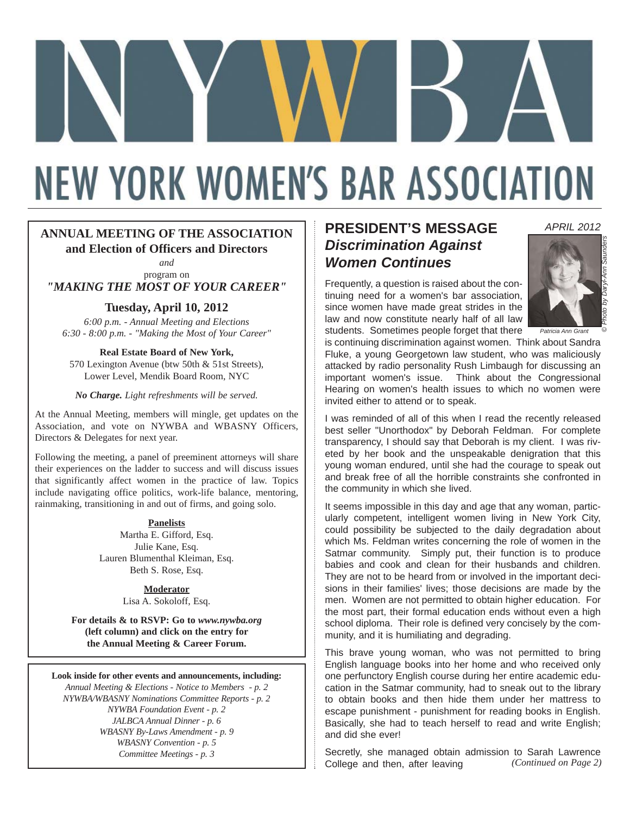# **NEW YORK WOMEN'S BAR ASSOCIATION**

#### **ANNUAL MEETING OF THE ASSOCIATION and Election of Officers and Directors**

*and* program on

*"MAKING THE MOST OF YOUR CAREER"*

#### **Tuesday, April 10, 2012**

*6:00 p.m. - Annual Meeting and Elections 6:30 - 8:00 p.m. - "Making the Most of Your Career"*

**Real Estate Board of New York,** 570 Lexington Avenue (btw 50th & 51st Streets), Lower Level, Mendik Board Room, NYC

*No Charge. Light refreshments will be served.*

At the Annual Meeting, members will mingle, get updates on the Association, and vote on NYWBA and WBASNY Officers, Directors & Delegates for next year.

Following the meeting, a panel of preeminent attorneys will share their experiences on the ladder to success and will discuss issues that significantly affect women in the practice of law. Topics include navigating office politics, work-life balance, mentoring, rainmaking, transitioning in and out of firms, and going solo.

> **Panelists** Martha E. Gifford, Esq. Julie Kane, Esq. Lauren Blumenthal Kleiman, Esq. Beth S. Rose, Esq.

> > **Moderator** Lisa A. Sokoloff, Esq.

**For details & to RSVP: Go to** *www.nywba.org* **(left column) and click on the entry for the Annual Meeting & Career Forum.**

**Look inside for other events and announcements, including:**

*Annual Meeting & Elections - Notice to Members - p. 2 NYWBA/WBASNY Nominations Committee Reports - p. 2 NYWBA Foundation Event - p. 2 JALBCA Annual Dinner - p. 6 WBASNY By-Laws Amendment - p. 9 WBASNY Convention - p. 5 Committee Meetings - p. 3*

### **PRESIDENT'S MESSAGE** *Discrimination Against Women Continues*

Frequently, a question is raised about the continuing need for a women's bar association, since women have made great strides in the law and now constitute nearly half of all law students. Sometimes people forget that there



© *Photo by Daryl-Ann Saunders*

*APRIL 2012*

is continuing discrimination against women. Think about Sandra Fluke, a young Georgetown law student, who was maliciously attacked by radio personality Rush Limbaugh for discussing an important women's issue. Think about the Congressional Hearing on women's health issues to which no women were invited either to attend or to speak.

I was reminded of all of this when I read the recently released best seller "Unorthodox" by Deborah Feldman. For complete transparency, I should say that Deborah is my client. I was riveted by her book and the unspeakable denigration that this young woman endured, until she had the courage to speak out and break free of all the horrible constraints she confronted in the community in which she lived.

It seems impossible in this day and age that any woman, particularly competent, intelligent women living in New York City, could possibility be subjected to the daily degradation about which Ms. Feldman writes concerning the role of women in the Satmar community. Simply put, their function is to produce babies and cook and clean for their husbands and children. They are not to be heard from or involved in the important decisions in their families' lives; those decisions are made by the men. Women are not permitted to obtain higher education. For the most part, their formal education ends without even a high school diploma. Their role is defined very concisely by the community, and it is humiliating and degrading.

This brave young woman, who was not permitted to bring English language books into her home and who received only one perfunctory English course during her entire academic education in the Satmar community, had to sneak out to the library to obtain books and then hide them under her mattress to escape punishment - punishment for reading books in English. Basically, she had to teach herself to read and write English; and did she ever!

Secretly, she managed obtain admission to Sarah Lawrence College and then, after leaving *(Continued on Page 2)*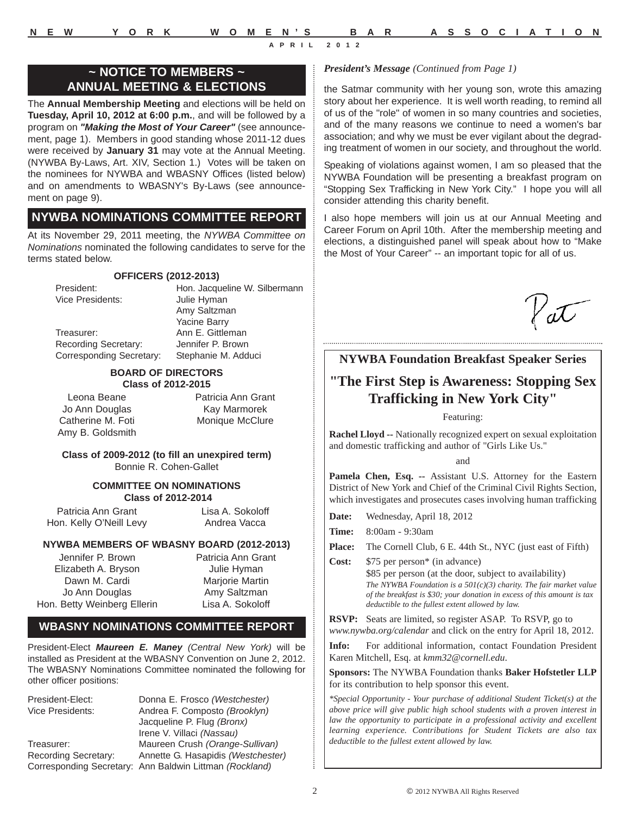### **~ NOTICE TO MEMBERS ~ ANNUAL MEETING & ELECTIONS**

The **Annual Membership Meeting** and elections will be held on **Tuesday, April 10, 2012 at 6:00 p.m.**, and will be followed by a program on *"Making the Most of Your Career"* (see announcement, page 1). Members in good standing whose 2011-12 dues were received by **January 31** may vote at the Annual Meeting. (NYWBA By-Laws, Art. XIV, Section 1.) Votes will be taken on the nominees for NYWBA and WBASNY Offices (listed below) and on amendments to WBASNY's By-Laws (see announcement on page 9).

### **NYWBA NOMINATIONS COMMITTEE REPORT**

At its November 29, 2011 meeting, the *NYWBA Committee on Nominations* nominated the following candidates to serve for the terms stated below.

### **OFFICERS (2012-2013)**

Vice Presidents: Julie Hyman

President: Hon. Jacqueline W. Silbermann Amy Saltzman Yacine Barry Treasurer: Ann E. Gittleman Recording Secretary: Jennifer P. Brown Corresponding Secretary: Stephanie M. Adduci

#### **BOARD OF DIRECTORS Class of 2012-2015**

Leona Beane Jo Ann Douglas Catherine M. Foti Amy B. Goldsmith Patricia Ann Grant Kay Marmorek Monique McClure

#### **Class of 2009-2012 (to fill an unexpired term)** Bonnie R. Cohen-Gallet

#### **COMMITTEE ON NOMINATIONS Class of 2012-2014**

Patricia Ann Grant Hon. Kelly O'Neill Levy Lisa A. Sokoloff Andrea Vacca

### **NYWBA MEMBERS OF WBASNY BOARD (2012-2013)**

Jennifer P. Brown Elizabeth A. Bryson Dawn M. Cardi Jo Ann Douglas Hon. Betty Weinberg Ellerin Patricia Ann Grant Julie Hyman Marjorie Martin Amy Saltzman Lisa A. Sokoloff

### **WBASNY NOMINATIONS COMMITTEE REPORT**

President-Elect *Maureen E. Maney (Central New York)* will be installed as President at the WBASNY Convention on June 2, 2012. The WBASNY Nominations Committee nominated the following for other officer positions:

President-Elect: Donna E. Frosco *(Westchester)* Andrea F. Composto *(Brooklyn)* Jacqueline P. Flug *(Bronx)* Irene V. Villaci *(Nassau)* Treasurer: Maureen Crush *(Orange-Sullivan)*  Recording Secretary: Annette G. Hasapidis *(Westchester)*  Corresponding Secretary: Ann Baldwin Littman *(Rockland)*

### *President's Message (Continued from Page 1)*

the Satmar community with her young son, wrote this amazing story about her experience. It is well worth reading, to remind all of us of the "role" of women in so many countries and societies, and of the many reasons we continue to need a women's bar association; and why we must be ever vigilant about the degrading treatment of women in our society, and throughout the world.

Speaking of violations against women, I am so pleased that the NYWBA Foundation will be presenting a breakfast program on "Stopping Sex Trafficking in New York City." I hope you will all consider attending this charity benefit.

I also hope members will join us at our Annual Meeting and Career Forum on April 10th. After the membership meeting and elections, a distinguished panel will speak about how to "Make the Most of Your Career" -- an important topic for all of us.

'aT

### **NYWBA Foundation Breakfast Speaker Series**

### **"The First Step is Awareness: Stopping Sex Trafficking in New York City"**

#### Featuring:

**Rachel Lloyd --** Nationally recognized expert on sexual exploitation and domestic trafficking and author of "Girls Like Us."

and

**Pamela Chen, Esq. --** Assistant U.S. Attorney for the Eastern District of New York and Chief of the Criminal Civil Rights Section, which investigates and prosecutes cases involving human trafficking

**Date:** Wednesday, April 18, 2012

**Time:** 8:00am - 9:30am

- **Place:** The Cornell Club, 6 E. 44th St., NYC (just east of Fifth)
- **Cost:** \$75 per person\* (in advance) \$85 per person (at the door, subject to availability) *The NYWBA Foundation is a 501(c)(3) charity. The fair market value of the breakfast is \$30; your donation in excess of this amount is tax deductible to the fullest extent allowed by law.*

**RSVP:** Seats are limited, so register ASAP. To RSVP, go to *www.nywba.org/calendar* and click on the entry for April 18, 2012.

**Info:** For additional information, contact Foundation President Karen Mitchell, Esq. at *kmm32@cornell.edu*.

**Sponsors:** The NYWBA Foundation thanks **Baker Hofstetler LLP** for its contribution to help sponsor this event.

*\*Special Opportunity - Your purchase of additional Student Ticket(s) at the above price will give public high school students with a proven interest in law the opportunity to participate in a professional activity and excellent learning experience. Contributions for Student Tickets are also tax deductible to the fullest extent allowed by law.*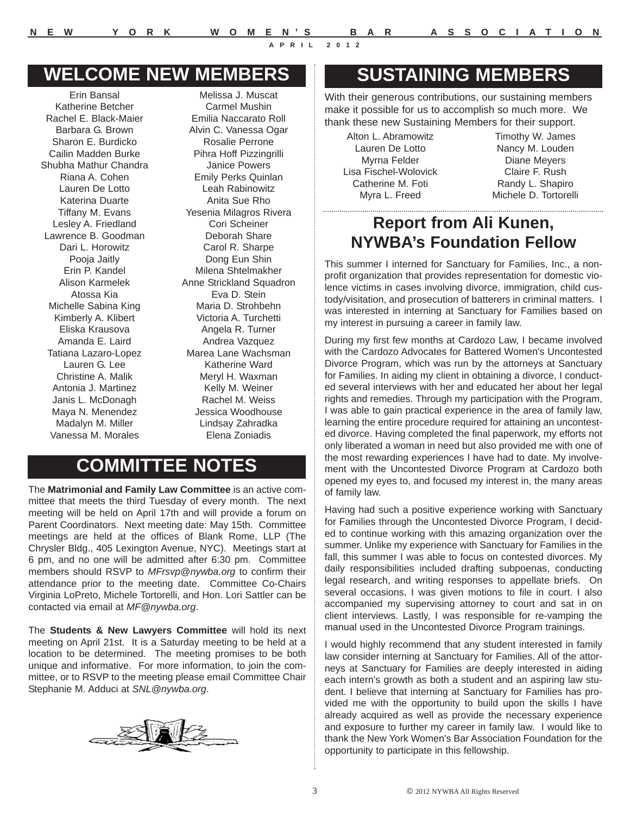### **WELCOME NEW MEMBERS**

Erin Bansal Katherine Betcher Rachel E. Black-Maier Barbara G. Brown Sharon E. Burdicko Cailin Madden Burke Shubha Mathur Chandra Riana A. Cohen Lauren De Lotto Katerina Duarte Tiffany M. Evans Lesley A. Friedland Lawrence B. Goodman Dari L. Horowitz Pooja Jaitly Erin P. Kandel Alison Karmelek Atossa Kia Michelle Sabina King Kimberly A. Klibert Eliska Krausova Amanda E. Laird Tatiana Lazaro-Lopez Lauren G. Lee Christine A. Malik Antonia J. Martinez Janis L. McDonagh Maya N. Menendez Madalyn M. Miller Vanessa M. Morales

Melissa J. Muscat Carmel Mushin Emilia Naccarato Roll Alvin C. Vanessa Ogar Rosalie Perrone Pihra Hoff Pizzingrilli Janice Powers Emily Perks Quinlan Leah Rabinowitz Anita Sue Rho Yesenia Milagros Rivera Cori Scheiner Deborah Share Carol R. Sharpe Dong Eun Shin Milena Shtelmakher Anne Strickland Squadron Eva D. Stein Maria D. Strohbehn Victoria A. Turchetti Angela R. Turner Andrea Vazquez Marea Lane Wachsman Katherine Ward Meryl H. Waxman Kelly M. Weiner Rachel M. Weiss Jessica Woodhouse Lindsay Zahradka Elena Zoniadis

### **COMMITTEE NOTES**

The **Matrimonial and Family Law Committee** is an active committee that meets the third Tuesday of every month. The next meeting will be held on April 17th and will provide a forum on Parent Coordinators. Next meeting date: May 15th. Committee meetings are held at the offices of Blank Rome, LLP (The Chrysler Bldg., 405 Lexington Avenue, NYC). Meetings start at 6 pm, and no one will be admitted after 6:30 pm. Committee members should RSVP to *MFrsvp@nywba.org* to confirm their attendance prior to the meeting date. Committee Co-Chairs Virginia LoPreto, Michele Tortorelli, and Hon. Lori Sattler can be contacted via email at *MF@nywba.org*.

The **Students & New Lawyers Committee** will hold its next meeting on April 21st. It is a Saturday meeting to be held at a location to be determined. The meeting promises to be both unique and informative. For more information, to join the committee, or to RSVP to the meeting please email Committee Chair Stephanie M. Adduci at *SNL@nywba.org*.



### **SUSTAINING MEMBERS**

With their generous contributions, our sustaining members make it possible for us to accomplish so much more. We thank these new Sustaining Members for their support.

Alton L. Abramowitz Lauren De Lotto Myrna Felder Lisa Fischel-Wolovick Catherine M. Foti Myra L. Freed

Timothy W. James Nancy M. Louden Diane Meyers Claire F. Rush Randy L. Shapiro Michele D. Tortorelli

### **Report from Ali Kunen, NYWBA's Foundation Fellow**

This summer I interned for Sanctuary for Families, Inc., a nonprofit organization that provides representation for domestic violence victims in cases involving divorce, immigration, child custody/visitation, and prosecution of batterers in criminal matters. I was interested in interning at Sanctuary for Families based on my interest in pursuing a career in family law.

During my first few months at Cardozo Law, I became involved with the Cardozo Advocates for Battered Women's Uncontested Divorce Program, which was run by the attorneys at Sanctuary for Families. In aiding my client in obtaining a divorce, I conducted several interviews with her and educated her about her legal rights and remedies. Through my participation with the Program, I was able to gain practical experience in the area of family law, learning the entire procedure required for attaining an uncontested divorce. Having completed the final paperwork, my efforts not only liberated a woman in need but also provided me with one of the most rewarding experiences I have had to date. My involvement with the Uncontested Divorce Program at Cardozo both opened my eyes to, and focused my interest in, the many areas of family law.

Having had such a positive experience working with Sanctuary for Families through the Uncontested Divorce Program, I decided to continue working with this amazing organization over the summer. Unlike my experience with Sanctuary for Families in the fall, this summer I was able to focus on contested divorces. My daily responsibilities included drafting subpoenas, conducting legal research, and writing responses to appellate briefs. On several occasions, I was given motions to file in court. I also accompanied my supervising attorney to court and sat in on client interviews. Lastly, I was responsible for re-vamping the manual used in the Uncontested Divorce Program trainings.

I would highly recommend that any student interested in family law consider interning at Sanctuary for Families. All of the attorneys at Sanctuary for Families are deeply interested in aiding each intern's growth as both a student and an aspiring law student. I believe that interning at Sanctuary for Families has provided me with the opportunity to build upon the skills I have already acquired as well as provide the necessary experience and exposure to further my career in family law. I would like to thank the New York Women's Bar Association Foundation for the opportunity to participate in this fellowship.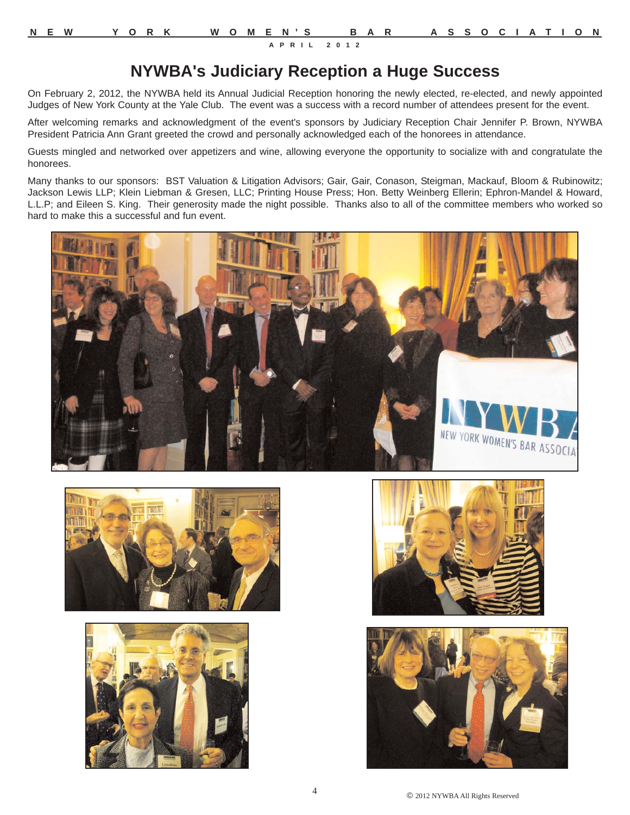### **NYWBA's Judiciary Reception a Huge Success**

On February 2, 2012, the NYWBA held its Annual Judicial Reception honoring the newly elected, re-elected, and newly appointed Judges of New York County at the Yale Club. The event was a success with a record number of attendees present for the event.

After welcoming remarks and acknowledgment of the event's sponsors by Judiciary Reception Chair Jennifer P. Brown, NYWBA President Patricia Ann Grant greeted the crowd and personally acknowledged each of the honorees in attendance.

Guests mingled and networked over appetizers and wine, allowing everyone the opportunity to socialize with and congratulate the honorees.

Many thanks to our sponsors: BST Valuation & Litigation Advisors; Gair, Gair, Conason, Steigman, Mackauf, Bloom & Rubinowitz; Jackson Lewis LLP; Klein Liebman & Gresen, LLC; Printing House Press; Hon. Betty Weinberg Ellerin; Ephron-Mandel & Howard, L.L.P; and Eileen S. King. Their generosity made the night possible. Thanks also to all of the committee members who worked so hard to make this a successful and fun event.











© 2012 NYWBA All Rights Reserved <sup>4</sup>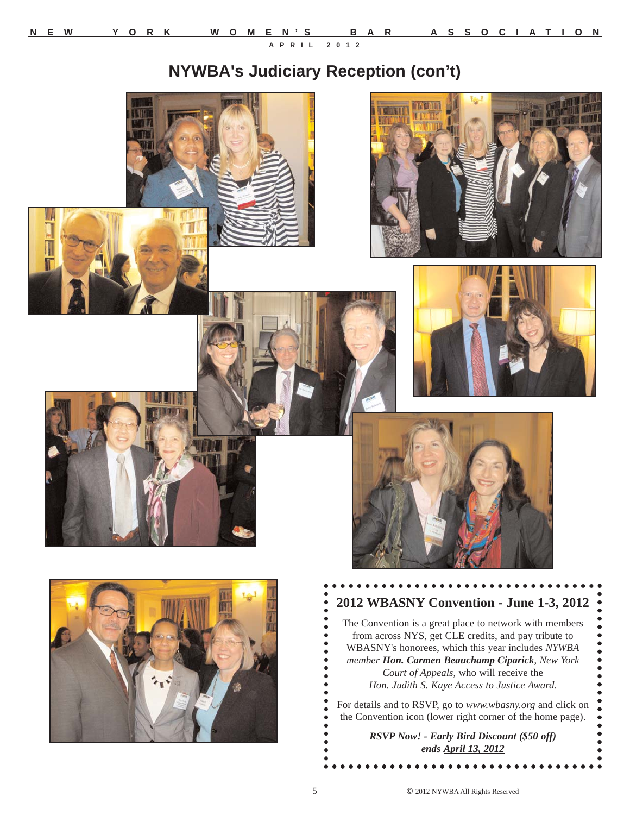### **NYWBA's Judiciary Reception (con't)**











### **2012 WBASNY Convention - June 1-3, 2012**

The Convention is a great place to network with members from across NYS, get CLE credits, and pay tribute to WBASNY's honorees, which this year includes *NYWBA member Hon. Carmen Beauchamp Ciparick*, *New York Court of Appeals*, who will receive the *Hon. Judith S. Kaye Access to Justice Award*.

For details and to RSVP, go to *www.wbasny.org* and click on the Convention icon (lower right corner of the home page).

> *RSVP Now! - Early Bird Discount (\$50 off) ends April 13, 2012*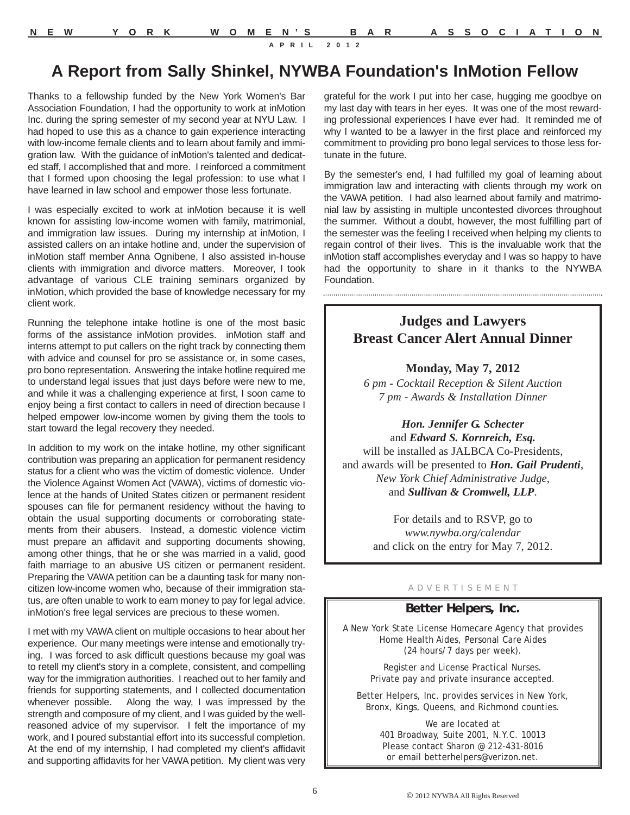### **A Report from Sally Shinkel, NYWBA Foundation's InMotion Fellow**

Thanks to a fellowship funded by the New York Women's Bar Association Foundation, I had the opportunity to work at inMotion Inc. during the spring semester of my second year at NYU Law. I had hoped to use this as a chance to gain experience interacting with low-income female clients and to learn about family and immigration law. With the guidance of inMotion's talented and dedicated staff, I accomplished that and more. I reinforced a commitment that I formed upon choosing the legal profession: to use what I have learned in law school and empower those less fortunate.

I was especially excited to work at inMotion because it is well known for assisting low-income women with family, matrimonial, and immigration law issues. During my internship at inMotion, I assisted callers on an intake hotline and, under the supervision of inMotion staff member Anna Ognibene, I also assisted in-house clients with immigration and divorce matters. Moreover, I took advantage of various CLE training seminars organized by inMotion, which provided the base of knowledge necessary for my client work.

Running the telephone intake hotline is one of the most basic forms of the assistance inMotion provides. inMotion staff and interns attempt to put callers on the right track by connecting them with advice and counsel for pro se assistance or, in some cases, pro bono representation. Answering the intake hotline required me to understand legal issues that just days before were new to me, and while it was a challenging experience at first, I soon came to enjoy being a first contact to callers in need of direction because I helped empower low-income women by giving them the tools to start toward the legal recovery they needed.

In addition to my work on the intake hotline, my other significant contribution was preparing an application for permanent residency status for a client who was the victim of domestic violence. Under the Violence Against Women Act (VAWA), victims of domestic violence at the hands of United States citizen or permanent resident spouses can file for permanent residency without the having to obtain the usual supporting documents or corroborating statements from their abusers. Instead, a domestic violence victim must prepare an affidavit and supporting documents showing, among other things, that he or she was married in a valid, good faith marriage to an abusive US citizen or permanent resident. Preparing the VAWA petition can be a daunting task for many noncitizen low-income women who, because of their immigration status, are often unable to work to earn money to pay for legal advice. inMotion's free legal services are precious to these women.

I met with my VAWA client on multiple occasions to hear about her experience. Our many meetings were intense and emotionally trying. I was forced to ask difficult questions because my goal was to retell my client's story in a complete, consistent, and compelling way for the immigration authorities. I reached out to her family and friends for supporting statements, and I collected documentation whenever possible. Along the way, I was impressed by the strength and composure of my client, and I was guided by the wellreasoned advice of my supervisor. I felt the importance of my work, and I poured substantial effort into its successful completion. At the end of my internship, I had completed my client's affidavit and supporting affidavits for her VAWA petition. My client was very

grateful for the work I put into her case, hugging me goodbye on my last day with tears in her eyes. It was one of the most rewarding professional experiences I have ever had. It reminded me of why I wanted to be a lawyer in the first place and reinforced my commitment to providing pro bono legal services to those less fortunate in the future.

By the semester's end, I had fulfilled my goal of learning about immigration law and interacting with clients through my work on the VAWA petition. I had also learned about family and matrimonial law by assisting in multiple uncontested divorces throughout the summer. Without a doubt, however, the most fulfilling part of the semester was the feeling I received when helping my clients to regain control of their lives. This is the invaluable work that the inMotion staff accomplishes everyday and I was so happy to have had the opportunity to share in it thanks to the NYWBA Foundation.

### **Judges and Lawyers Breast Cancer Alert Annual Dinner**

#### **Monday, May 7, 2012**

*6 pm - Cocktail Reception & Silent Auction 7 pm - Awards & Installation Dinner*

*Hon. Jennifer G. Schecter*  and *Edward S. Kornreich, Esq.*  will be installed as JALBCA Co-Presidents, and awards will be presented to *Hon. Gail Prudenti*, *New York Chief Administrative Judge*, and *Sullivan & Cromwell, LLP*.

> For details and to RSVP, go to *www.nywba.org/calendar* and click on the entry for May 7, 2012.

#### A D V E R T I S E M E N T

#### **Better Helpers, Inc.**

A New York State License Homecare Agency that provides Home Health Aides, Personal Care Aides (24 hours/7 days per week).

> Register and License Practical Nurses. Private pay and private insurance accepted.

Better Helpers, Inc. provides services in New York, Bronx, Kings, Queens, and Richmond counties.

> We are located at 401 Broadway, Suite 2001, N.Y.C. 10013 Please contact Sharon @ 212-431-8016 or email betterhelpers@verizon.net.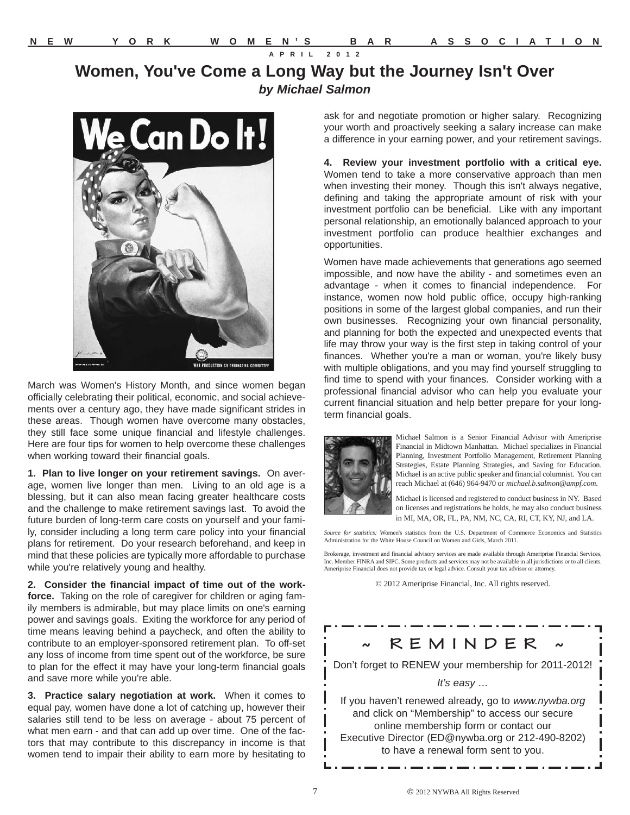### **Women, You've Come a Long Way but the Journey Isn't Over** *by Michael Salmon*



March was Women's History Month, and since women began officially celebrating their political, economic, and social achievements over a century ago, they have made significant strides in these areas. Though women have overcome many obstacles, they still face some unique financial and lifestyle challenges. Here are four tips for women to help overcome these challenges when working toward their financial goals.

**1. Plan to live longer on your retirement savings.** On average, women live longer than men. Living to an old age is a blessing, but it can also mean facing greater healthcare costs and the challenge to make retirement savings last. To avoid the future burden of long-term care costs on yourself and your family, consider including a long term care policy into your financial plans for retirement. Do your research beforehand, and keep in mind that these policies are typically more affordable to purchase while you're relatively young and healthy.

**2. Consider the financial impact of time out of the workforce.** Taking on the role of caregiver for children or aging family members is admirable, but may place limits on one's earning power and savings goals. Exiting the workforce for any period of time means leaving behind a paycheck, and often the ability to contribute to an employer-sponsored retirement plan. To off-set any loss of income from time spent out of the workforce, be sure to plan for the effect it may have your long-term financial goals and save more while you're able.

**3. Practice salary negotiation at work.** When it comes to equal pay, women have done a lot of catching up, however their salaries still tend to be less on average - about 75 percent of what men earn - and that can add up over time. One of the factors that may contribute to this discrepancy in income is that women tend to impair their ability to earn more by hesitating to

ask for and negotiate promotion or higher salary. Recognizing your worth and proactively seeking a salary increase can make a difference in your earning power, and your retirement savings.

**4. Review your investment portfolio with a critical eye.** Women tend to take a more conservative approach than men when investing their money. Though this isn't always negative, defining and taking the appropriate amount of risk with your investment portfolio can be beneficial. Like with any important personal relationship, an emotionally balanced approach to your investment portfolio can produce healthier exchanges and opportunities.

Women have made achievements that generations ago seemed impossible, and now have the ability - and sometimes even an advantage - when it comes to financial independence. For instance, women now hold public office, occupy high-ranking positions in some of the largest global companies, and run their own businesses. Recognizing your own financial personality, and planning for both the expected and unexpected events that life may throw your way is the first step in taking control of your finances. Whether you're a man or woman, you're likely busy with multiple obligations, and you may find yourself struggling to find time to spend with your finances. Consider working with a professional financial advisor who can help you evaluate your current financial situation and help better prepare for your longterm financial goals.



Michael Salmon is a Senior Financial Advisor with Ameriprise Financial in Midtown Manhattan. Michael specializes in Financial Planning, Investment Portfolio Management, Retirement Planning Strategies, Estate Planning Strategies, and Saving for Education. Michael is an active public speaker and financial columnist. You can reach Michael at (646) 964-9470 or *michael.b.salmon@ampf.com*.

Michael is licensed and registered to conduct business in NY. Based on licenses and registrations he holds, he may also conduct business in MI, MA, OR, FL, PA, NM, NC, CA, RI, CT, KY, NJ, and LA.

*Source for statistics:* Women's statistics from the U.S. Department of Commerce Economics and Statistics Administration for the White House Council on Women and Girls, March 2011.

Brokerage, investment and financial advisory services are made available through Ameriprise Financial Services, Inc. Member FINRA and SIPC. Some products and services may not be available in all jurisdictions or to all clients. Ameriprise Financial does not provide tax or legal advice. Consult your tax advisor or attorney.

© 2012 Ameriprise Financial, Inc. All rights reserved.

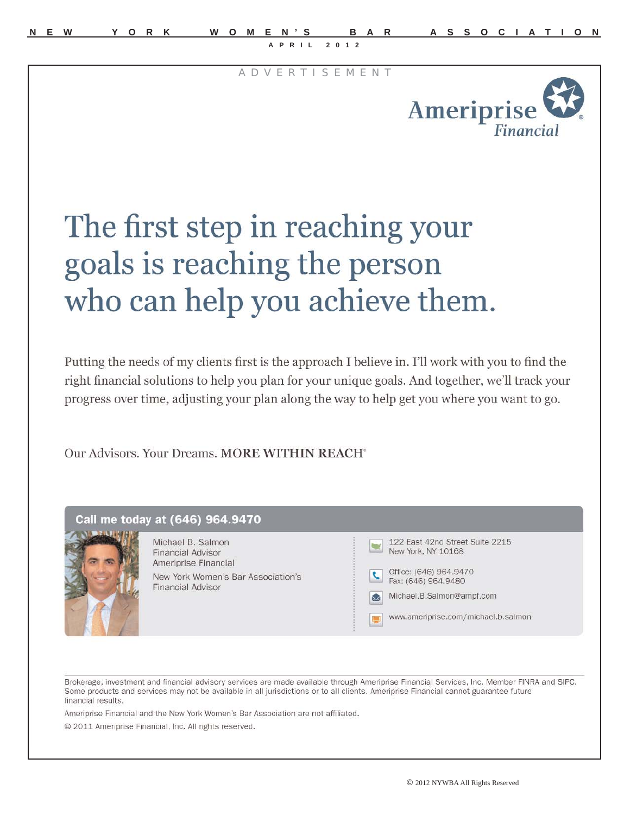A D V E R T I S E M E N T



## The first step in reaching your goals is reaching the person who can help you achieve them.

Putting the needs of my clients first is the approach I believe in. I'll work with you to find the right financial solutions to help you plan for your unique goals. And together, we'll track your progress over time, adjusting your plan along the way to help get you where you want to go.

Our Advisors. Your Dreams. MORE WITHIN REACH<sup>®</sup>

|  | Michael B. Salmon<br><b>Financial Advisor</b><br>Ameriprise Financial<br>New York Women's Bar Association's<br><b>Financial Advisor</b> | 122 East 42nd Street Suite 2215<br>New York, NY 10168<br>Office: (646) 964.9470<br>Fax: (646) 964, 9480<br>Michael.B.Salmon@ampf.com<br>Ω<br>www.ameriprise.com/michael.b.salmon<br>투 |
|--|-----------------------------------------------------------------------------------------------------------------------------------------|---------------------------------------------------------------------------------------------------------------------------------------------------------------------------------------|
|--|-----------------------------------------------------------------------------------------------------------------------------------------|---------------------------------------------------------------------------------------------------------------------------------------------------------------------------------------|

Brokerage, investment and financial advisory services are made available through Ameriprise Financial Services, Inc. Member FINRA and SIPC. Some products and services may not be available in all jurisdictions or to all clients. Ameriprise Financial cannot guarantee future financial results.

Ameriprise Financial and the New York Women's Bar Association are not affiliated.

© 2011 Ameriprise Financial, Inc. All rights reserved.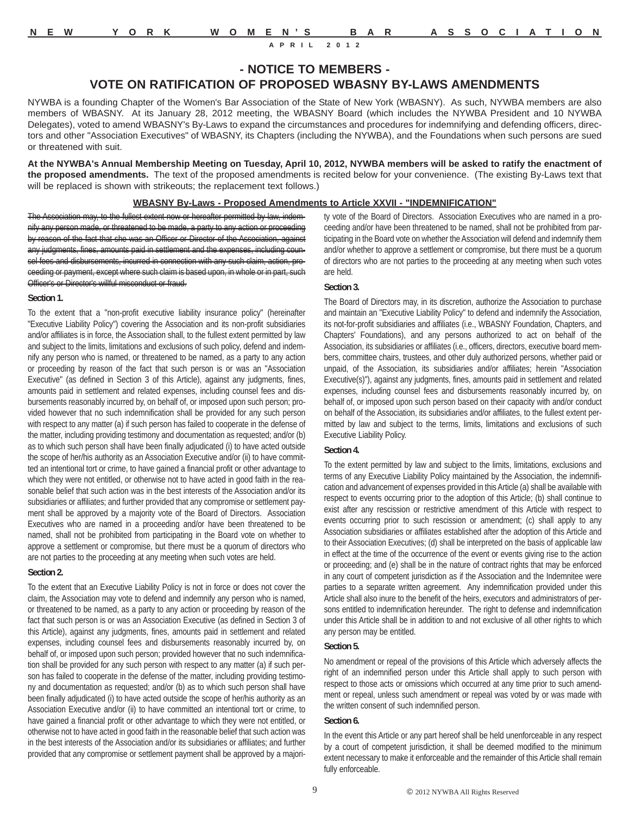**- NOTICE TO MEMBERS -**

### **VOTE ON RATIFICATION OF PROPOSED WBASNY BY-LAWS AMENDMENTS**

NYWBA is a founding Chapter of the Women's Bar Association of the State of New York (WBASNY). As such, NYWBA members are also members of WBASNY. At its January 28, 2012 meeting, the WBASNY Board (which includes the NYWBA President and 10 NYWBA Delegates), voted to amend WBASNY's By-Laws to expand the circumstances and procedures for indemnifying and defending officers, directors and other "Association Executives" of WBASNY, its Chapters (including the NYWBA), and the Foundations when such persons are sued or threatened with suit.

**At the NYWBA's Annual Membership Meeting on Tuesday, April 10, 2012, NYWBA members will be asked to ratify the enactment of the proposed amendments.** The text of the proposed amendments is recited below for your convenience. (The existing By-Laws text that will be replaced is shown with strikeouts; the replacement text follows.)

#### **WBASNY By-Laws - Proposed Amendments to Article XXVII - "INDEMNIFICATION"**

The Association may, to the fullest extent now or hereafter permitted by law, indemnify any person made, or threatened to be made, a party to any action or proceeding by reason of the fact that she was an Officer or Director of the Association, against any judgments, fines, amounts paid in settlement and the expenses, including counsel fees and disbursements, incurred in connection with any such claim, action, proceeding or payment, except where such claim is based upon, in whole or in part, such Officer's or Director's willful misconduct or fraud.

#### **Section 1.**

To the extent that a "non-profit executive liability insurance policy" (hereinafter "Executive Liability Policy") covering the Association and its non-profit subsidiaries and/or affiliates is in force, the Association shall, to the fullest extent permitted by law and subject to the limits, limitations and exclusions of such policy, defend and indemnify any person who is named, or threatened to be named, as a party to any action or proceeding by reason of the fact that such person is or was an "Association Executive" (as defined in Section 3 of this Article), against any judgments, fines, amounts paid in settlement and related expenses, including counsel fees and disbursements reasonably incurred by, on behalf of, or imposed upon such person; provided however that no such indemnification shall be provided for any such person with respect to any matter (a) if such person has failed to cooperate in the defense of the matter, including providing testimony and documentation as requested; and/or (b) as to which such person shall have been finally adjudicated (i) to have acted outside the scope of her/his authority as an Association Executive and/or (ii) to have committed an intentional tort or crime, to have gained a financial profit or other advantage to which they were not entitled, or otherwise not to have acted in good faith in the reasonable belief that such action was in the best interests of the Association and/or its subsidiaries or affiliates; and further provided that any compromise or settlement payment shall be approved by a majority vote of the Board of Directors. Association Executives who are named in a proceeding and/or have been threatened to be named, shall not be prohibited from participating in the Board vote on whether to approve a settlement or compromise, but there must be a quorum of directors who are not parties to the proceeding at any meeting when such votes are held.

#### **Section 2.**

To the extent that an Executive Liability Policy is not in force or does not cover the claim, the Association may vote to defend and indemnify any person who is named, or threatened to be named, as a party to any action or proceeding by reason of the fact that such person is or was an Association Executive (as defined in Section 3 of this Article), against any judgments, fines, amounts paid in settlement and related expenses, including counsel fees and disbursements reasonably incurred by, on behalf of, or imposed upon such person; provided however that no such indemnification shall be provided for any such person with respect to any matter (a) if such person has failed to cooperate in the defense of the matter, including providing testimony and documentation as requested; and/or (b) as to which such person shall have been finally adjudicated (i) to have acted outside the scope of her/his authority as an Association Executive and/or (ii) to have committed an intentional tort or crime, to have gained a financial profit or other advantage to which they were not entitled, or otherwise not to have acted in good faith in the reasonable belief that such action was in the best interests of the Association and/or its subsidiaries or affiliates; and further provided that any compromise or settlement payment shall be approved by a majority vote of the Board of Directors. Association Executives who are named in a proceeding and/or have been threatened to be named, shall not be prohibited from participating in the Board vote on whether the Association will defend and indemnify them and/or whether to approve a settlement or compromise, but there must be a quorum of directors who are not parties to the proceeding at any meeting when such votes are held.

#### **Section 3.**

The Board of Directors may, in its discretion, authorize the Association to purchase and maintain an "Executive Liability Policy" to defend and indemnify the Association, its not-for-profit subsidiaries and affiliates (i.e., WBASNY Foundation, Chapters, and Chapters' Foundations), and any persons authorized to act on behalf of the Association, its subsidiaries or affiliates (i.e., officers, directors, executive board members, committee chairs, trustees, and other duly authorized persons, whether paid or unpaid, of the Association, its subsidiaries and/or affiliates; herein "Association Executive(s)"), against any judgments, fines, amounts paid in settlement and related expenses, including counsel fees and disbursements reasonably incurred by, on behalf of, or imposed upon such person based on their capacity with and/or conduct on behalf of the Association, its subsidiaries and/or affiliates, to the fullest extent permitted by law and subject to the terms, limits, limitations and exclusions of such Executive Liability Policy.

#### **Section 4.**

To the extent permitted by law and subject to the limits, limitations, exclusions and terms of any Executive Liability Policy maintained by the Association, the indemnification and advancement of expenses provided in this Article (a) shall be available with respect to events occurring prior to the adoption of this Article; (b) shall continue to exist after any rescission or restrictive amendment of this Article with respect to events occurring prior to such rescission or amendment; (c) shall apply to any Association subsidiaries or affiliates established after the adoption of this Article and to their Association Executives; (d) shall be interpreted on the basis of applicable law in effect at the time of the occurrence of the event or events giving rise to the action or proceeding; and (e) shall be in the nature of contract rights that may be enforced in any court of competent jurisdiction as if the Association and the Indemnitee were parties to a separate written agreement. Any indemnification provided under this Article shall also inure to the benefit of the heirs, executors and administrators of persons entitled to indemnification hereunder. The right to defense and indemnification under this Article shall be in addition to and not exclusive of all other rights to which any person may be entitled.

#### **Section 5.**

No amendment or repeal of the provisions of this Article which adversely affects the right of an indemnified person under this Article shall apply to such person with respect to those acts or omissions which occurred at any time prior to such amendment or repeal, unless such amendment or repeal was voted by or was made with the written consent of such indemnified person.

#### **Section 6.**

In the event this Article or any part hereof shall be held unenforceable in any respect by a court of competent jurisdiction, it shall be deemed modified to the minimum extent necessary to make it enforceable and the remainder of this Article shall remain fully enforceable.